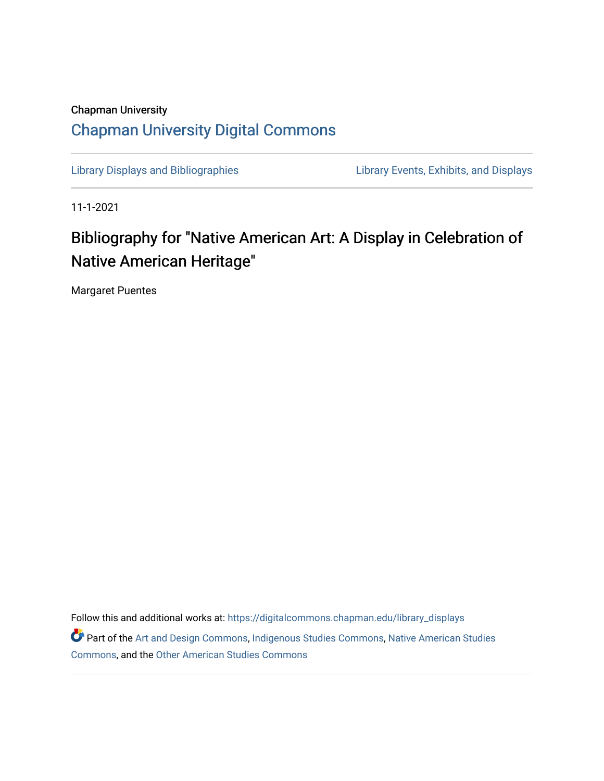## Chapman University [Chapman University Digital Commons](https://digitalcommons.chapman.edu/)

[Library Displays and Bibliographies](https://digitalcommons.chapman.edu/library_displays) [Library Events, Exhibits, and Displays](https://digitalcommons.chapman.edu/library_events) 

11-1-2021

## Bibliography for "Native American Art: A Display in Celebration of Native American Heritage"

Margaret Puentes

Follow this and additional works at: [https://digitalcommons.chapman.edu/library\\_displays](https://digitalcommons.chapman.edu/library_displays?utm_source=digitalcommons.chapman.edu%2Flibrary_displays%2F18&utm_medium=PDF&utm_campaign=PDFCoverPages) Part of the [Art and Design Commons](http://network.bepress.com/hgg/discipline/1049?utm_source=digitalcommons.chapman.edu%2Flibrary_displays%2F18&utm_medium=PDF&utm_campaign=PDFCoverPages), [Indigenous Studies Commons](http://network.bepress.com/hgg/discipline/571?utm_source=digitalcommons.chapman.edu%2Flibrary_displays%2F18&utm_medium=PDF&utm_campaign=PDFCoverPages), [Native American Studies](http://network.bepress.com/hgg/discipline/1434?utm_source=digitalcommons.chapman.edu%2Flibrary_displays%2F18&utm_medium=PDF&utm_campaign=PDFCoverPages)  [Commons](http://network.bepress.com/hgg/discipline/1434?utm_source=digitalcommons.chapman.edu%2Flibrary_displays%2F18&utm_medium=PDF&utm_campaign=PDFCoverPages), and the [Other American Studies Commons](http://network.bepress.com/hgg/discipline/445?utm_source=digitalcommons.chapman.edu%2Flibrary_displays%2F18&utm_medium=PDF&utm_campaign=PDFCoverPages)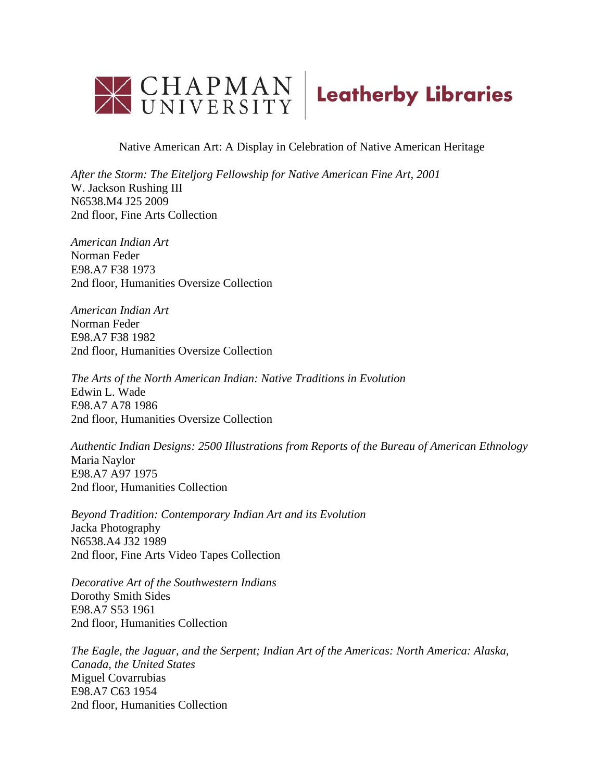

Native American Art: A Display in Celebration of Native American Heritage

*After the Storm: The Eiteljorg Fellowship for Native American Fine Art, 2001* W. Jackson Rushing III N6538.M4 J25 2009 2nd floor, Fine Arts Collection

*American Indian Art* Norman Feder E98.A7 F38 1973 2nd floor, Humanities Oversize Collection

*American Indian Art* Norman Feder E98.A7 F38 1982 2nd floor, Humanities Oversize Collection

*The Arts of the North American Indian: Native Traditions in Evolution* Edwin L. Wade E98.A7 A78 1986 2nd floor, Humanities Oversize Collection

*Authentic Indian Designs: 2500 Illustrations from Reports of the Bureau of American Ethnology* Maria Naylor E98.A7 A97 1975 2nd floor, Humanities Collection

*Beyond Tradition: Contemporary Indian Art and its Evolution* Jacka Photography N6538.A4 J32 1989 2nd floor, Fine Arts Video Tapes Collection

*Decorative Art of the Southwestern Indians* Dorothy Smith Sides E98.A7 S53 1961 2nd floor, Humanities Collection

*The Eagle, the Jaguar, and the Serpent; Indian Art of the Americas: North America: Alaska, Canada, the United States* Miguel Covarrubias E98.A7 C63 1954 2nd floor, Humanities Collection